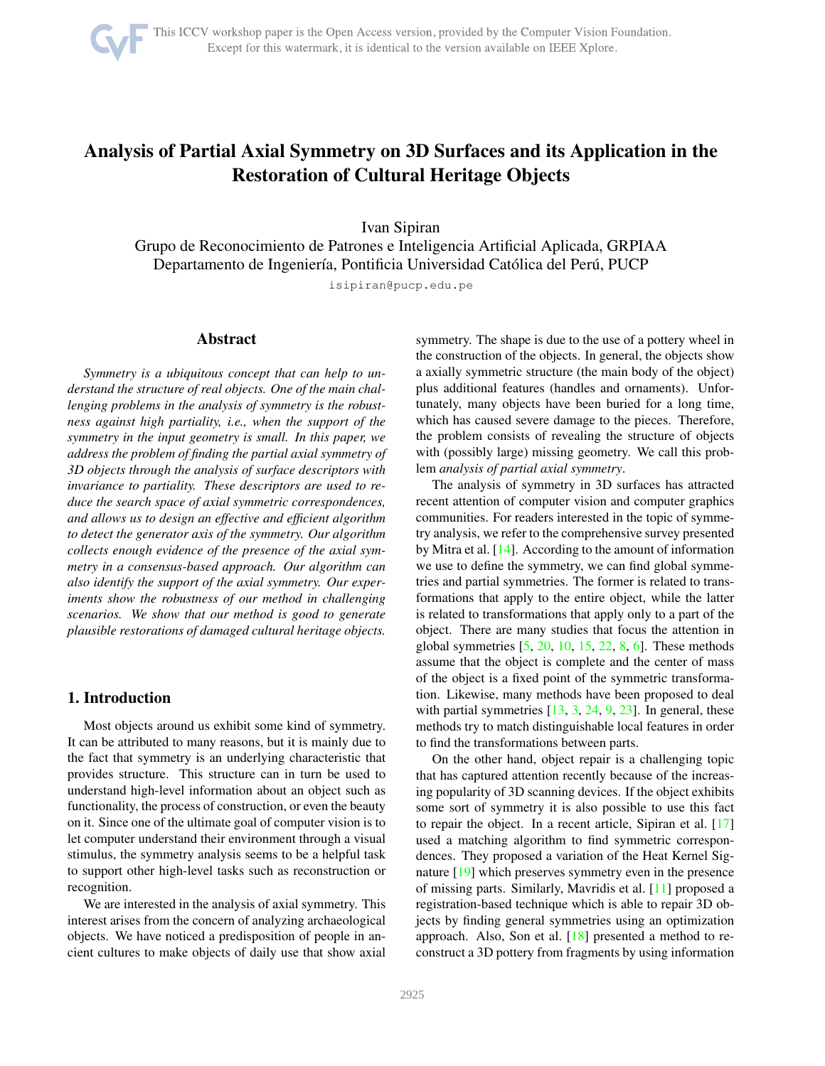

# <span id="page-0-0"></span>Analysis of Partial Axial Symmetry on 3D Surfaces and its Application in the Restoration of Cultural Heritage Objects

Ivan Sipiran

Grupo de Reconocimiento de Patrones e Inteligencia Artificial Aplicada, GRPIAA Departamento de Ingeniería, Pontificia Universidad Católica del Perú, PUCP

isipiran@pucp.edu.pe

### Abstract

*Symmetry is a ubiquitous concept that can help to understand the structure of real objects. One of the main challenging problems in the analysis of symmetry is the robustness against high partiality, i.e., when the support of the symmetry in the input geometry is small. In this paper, we address the problem of finding the partial axial symmetry of 3D objects through the analysis of surface descriptors with invariance to partiality. These descriptors are used to reduce the search space of axial symmetric correspondences, and allows us to design an effective and efficient algorithm to detect the generator axis of the symmetry. Our algorithm collects enough evidence of the presence of the axial symmetry in a consensus-based approach. Our algorithm can also identify the support of the axial symmetry. Our experiments show the robustness of our method in challenging scenarios. We show that our method is good to generate plausible restorations of damaged cultural heritage objects.*

### 1. Introduction

Most objects around us exhibit some kind of symmetry. It can be attributed to many reasons, but it is mainly due to the fact that symmetry is an underlying characteristic that provides structure. This structure can in turn be used to understand high-level information about an object such as functionality, the process of construction, or even the beauty on it. Since one of the ultimate goal of computer vision is to let computer understand their environment through a visual stimulus, the symmetry analysis seems to be a helpful task to support other high-level tasks such as reconstruction or recognition.

We are interested in the analysis of axial symmetry. This interest arises from the concern of analyzing archaeological objects. We have noticed a predisposition of people in ancient cultures to make objects of daily use that show axial symmetry. The shape is due to the use of a pottery wheel in the construction of the objects. In general, the objects show a axially symmetric structure (the main body of the object) plus additional features (handles and ornaments). Unfortunately, many objects have been buried for a long time, which has caused severe damage to the pieces. Therefore, the problem consists of revealing the structure of objects with (possibly large) missing geometry. We call this problem *analysis of partial axial symmetry*.

The analysis of symmetry in 3D surfaces has attracted recent attention of computer vision and computer graphics communities. For readers interested in the topic of symmetry analysis, we refer to the comprehensive survey presented by Mitra et al. [\[14\]](#page-8-0). According to the amount of information we use to define the symmetry, we can find global symmetries and partial symmetries. The former is related to transformations that apply to the entire object, while the latter is related to transformations that apply only to a part of the object. There are many studies that focus the attention in global symmetries  $[5, 20, 10, 15, 22, 8, 6]$  $[5, 20, 10, 15, 22, 8, 6]$  $[5, 20, 10, 15, 22, 8, 6]$  $[5, 20, 10, 15, 22, 8, 6]$  $[5, 20, 10, 15, 22, 8, 6]$  $[5, 20, 10, 15, 22, 8, 6]$  $[5, 20, 10, 15, 22, 8, 6]$  $[5, 20, 10, 15, 22, 8, 6]$  $[5, 20, 10, 15, 22, 8, 6]$  $[5, 20, 10, 15, 22, 8, 6]$  $[5, 20, 10, 15, 22, 8, 6]$  $[5, 20, 10, 15, 22, 8, 6]$  $[5, 20, 10, 15, 22, 8, 6]$ . These methods assume that the object is complete and the center of mass of the object is a fixed point of the symmetric transformation. Likewise, many methods have been proposed to deal with partial symmetries  $[13, 3, 24, 9, 23]$  $[13, 3, 24, 9, 23]$  $[13, 3, 24, 9, 23]$  $[13, 3, 24, 9, 23]$  $[13, 3, 24, 9, 23]$  $[13, 3, 24, 9, 23]$  $[13, 3, 24, 9, 23]$  $[13, 3, 24, 9, 23]$ . In general, these methods try to match distinguishable local features in order to find the transformations between parts.

On the other hand, object repair is a challenging topic that has captured attention recently because of the increasing popularity of 3D scanning devices. If the object exhibits some sort of symmetry it is also possible to use this fact to repair the object. In a recent article, Sipiran et al. [\[17\]](#page-8-13) used a matching algorithm to find symmetric correspondences. They proposed a variation of the Heat Kernel Signature [\[19\]](#page-8-14) which preserves symmetry even in the presence of missing parts. Similarly, Mavridis et al. [\[11\]](#page-8-15) proposed a registration-based technique which is able to repair 3D objects by finding general symmetries using an optimization approach. Also, Son et al. [\[18\]](#page-8-16) presented a method to reconstruct a 3D pottery from fragments by using information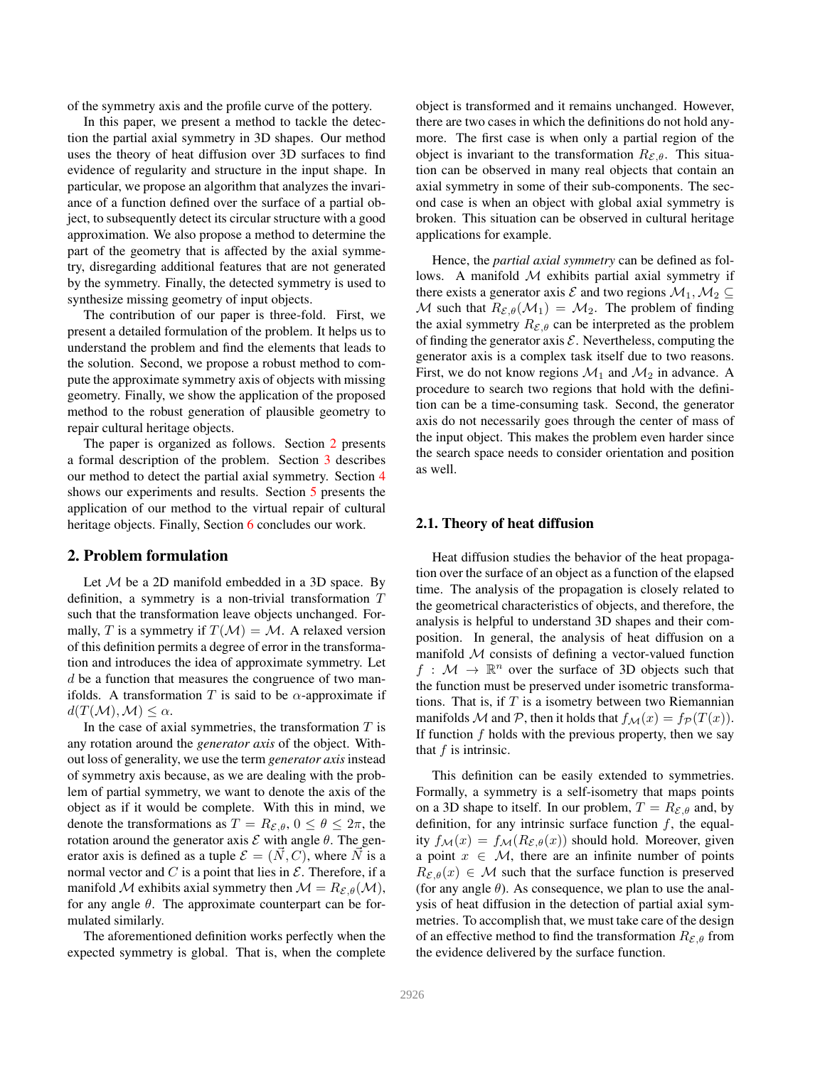of the symmetry axis and the profile curve of the pottery.

In this paper, we present a method to tackle the detection the partial axial symmetry in 3D shapes. Our method uses the theory of heat diffusion over 3D surfaces to find evidence of regularity and structure in the input shape. In particular, we propose an algorithm that analyzes the invariance of a function defined over the surface of a partial object, to subsequently detect its circular structure with a good approximation. We also propose a method to determine the part of the geometry that is affected by the axial symmetry, disregarding additional features that are not generated by the symmetry. Finally, the detected symmetry is used to synthesize missing geometry of input objects.

The contribution of our paper is three-fold. First, we present a detailed formulation of the problem. It helps us to understand the problem and find the elements that leads to the solution. Second, we propose a robust method to compute the approximate symmetry axis of objects with missing geometry. Finally, we show the application of the proposed method to the robust generation of plausible geometry to repair cultural heritage objects.

The paper is organized as follows. Section [2](#page-1-0) presents a formal description of the problem. Section [3](#page-2-0) describes our method to detect the partial axial symmetry. Section [4](#page-4-0) shows our experiments and results. Section [5](#page-6-0) presents the application of our method to the virtual repair of cultural heritage objects. Finally, Section [6](#page-7-0) concludes our work.

### <span id="page-1-0"></span>2. Problem formulation

Let  $M$  be a 2D manifold embedded in a 3D space. By definition, a symmetry is a non-trivial transformation T such that the transformation leave objects unchanged. Formally, T is a symmetry if  $T(M) = M$ . A relaxed version of this definition permits a degree of error in the transformation and introduces the idea of approximate symmetry. Let d be a function that measures the congruence of two manifolds. A transformation T is said to be  $\alpha$ -approximate if  $d(T(\mathcal{M}),\mathcal{M}) \leq \alpha$ .

In the case of axial symmetries, the transformation  $T$  is any rotation around the *generator axis* of the object. Without loss of generality, we use the term *generator axis*instead of symmetry axis because, as we are dealing with the problem of partial symmetry, we want to denote the axis of the object as if it would be complete. With this in mind, we denote the transformations as  $T = R_{\mathcal{E}, \theta}$ ,  $0 \le \theta \le 2\pi$ , the rotation around the generator axis  $\mathcal E$  with angle  $\theta$ . The generator axis is defined as a tuple  $\mathcal{E} = (N, C)$ , where N is a normal vector and  $C$  is a point that lies in  $\mathcal{E}$ . Therefore, if a manifold M exhibits axial symmetry then  $M = R_{\mathcal{E},\theta}(\mathcal{M}),$ for any angle  $\theta$ . The approximate counterpart can be formulated similarly.

The aforementioned definition works perfectly when the expected symmetry is global. That is, when the complete object is transformed and it remains unchanged. However, there are two cases in which the definitions do not hold anymore. The first case is when only a partial region of the object is invariant to the transformation  $R_{\mathcal{E},\theta}$ . This situation can be observed in many real objects that contain an axial symmetry in some of their sub-components. The second case is when an object with global axial symmetry is broken. This situation can be observed in cultural heritage applications for example.

Hence, the *partial axial symmetry* can be defined as follows. A manifold  $M$  exhibits partial axial symmetry if there exists a generator axis  $\mathcal E$  and two regions  $\mathcal M_1,\mathcal M_2\subseteq$ M such that  $R_{\mathcal{E},\theta}(\mathcal{M}_1) = \mathcal{M}_2$ . The problem of finding the axial symmetry  $R_{\mathcal{E},\theta}$  can be interpreted as the problem of finding the generator axis  $\mathcal{E}$ . Nevertheless, computing the generator axis is a complex task itself due to two reasons. First, we do not know regions  $\mathcal{M}_1$  and  $\mathcal{M}_2$  in advance. A procedure to search two regions that hold with the definition can be a time-consuming task. Second, the generator axis do not necessarily goes through the center of mass of the input object. This makes the problem even harder since the search space needs to consider orientation and position as well.

#### 2.1. Theory of heat diffusion

Heat diffusion studies the behavior of the heat propagation over the surface of an object as a function of the elapsed time. The analysis of the propagation is closely related to the geometrical characteristics of objects, and therefore, the analysis is helpful to understand 3D shapes and their composition. In general, the analysis of heat diffusion on a manifold  $M$  consists of defining a vector-valued function  $f : \mathcal{M} \to \mathbb{R}^n$  over the surface of 3D objects such that the function must be preserved under isometric transformations. That is, if  $T$  is a isometry between two Riemannian manifolds M and P, then it holds that  $f_{\mathcal{M}}(x) = f_{\mathcal{P}}(T(x)).$ If function  $f$  holds with the previous property, then we say that  $f$  is intrinsic.

This definition can be easily extended to symmetries. Formally, a symmetry is a self-isometry that maps points on a 3D shape to itself. In our problem,  $T = R_{\mathcal{E}, \theta}$  and, by definition, for any intrinsic surface function  $f$ , the equality  $f_{\mathcal{M}}(x) = f_{\mathcal{M}}(R_{\mathcal{E},\theta}(x))$  should hold. Moreover, given a point  $x \in M$ , there are an infinite number of points  $R_{\mathcal{E},\theta}(x) \in \mathcal{M}$  such that the surface function is preserved (for any angle  $\theta$ ). As consequence, we plan to use the analysis of heat diffusion in the detection of partial axial symmetries. To accomplish that, we must take care of the design of an effective method to find the transformation  $R_{\mathcal{E},\theta}$  from the evidence delivered by the surface function.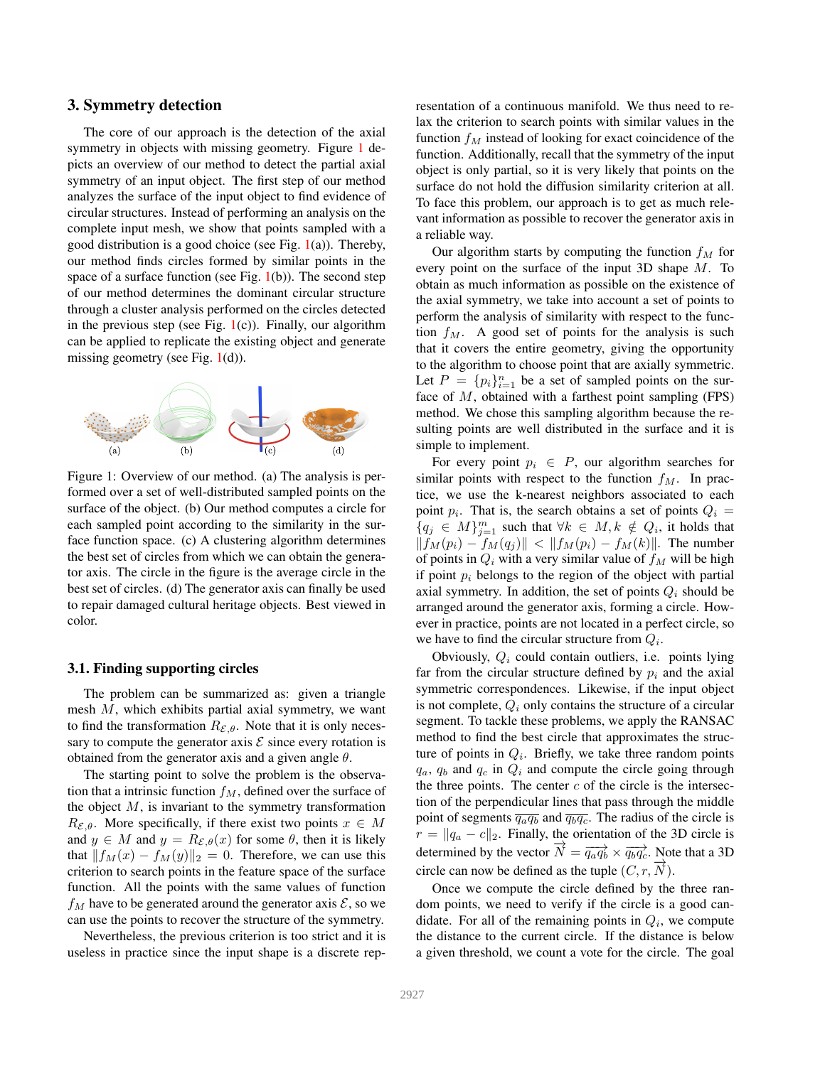### <span id="page-2-0"></span>3. Symmetry detection

The core of our approach is the detection of the axial symmetry in objects with missing geometry. Figure [1](#page-2-1) depicts an overview of our method to detect the partial axial symmetry of an input object. The first step of our method analyzes the surface of the input object to find evidence of circular structures. Instead of performing an analysis on the complete input mesh, we show that points sampled with a good distribution is a good choice (see Fig.  $1(a)$  $1(a)$ ). Thereby, our method finds circles formed by similar points in the space of a surface function (see Fig.  $1(b)$  $1(b)$ ). The second step of our method determines the dominant circular structure through a cluster analysis performed on the circles detected in the previous step (see Fig.  $1(c)$  $1(c)$ ). Finally, our algorithm can be applied to replicate the existing object and generate missing geometry (see Fig.  $1(d)$  $1(d)$ ).

<span id="page-2-1"></span>

Figure 1: Overview of our method. (a) The analysis is performed over a set of well-distributed sampled points on the surface of the object. (b) Our method computes a circle for each sampled point according to the similarity in the surface function space. (c) A clustering algorithm determines the best set of circles from which we can obtain the generator axis. The circle in the figure is the average circle in the best set of circles. (d) The generator axis can finally be used to repair damaged cultural heritage objects. Best viewed in color.

### <span id="page-2-2"></span>3.1. Finding supporting circles

The problem can be summarized as: given a triangle mesh  $M$ , which exhibits partial axial symmetry, we want to find the transformation  $R_{\mathcal{E},\theta}$ . Note that it is only necessary to compute the generator axis  $\mathcal E$  since every rotation is obtained from the generator axis and a given angle  $\theta$ .

The starting point to solve the problem is the observation that a intrinsic function  $f_M$ , defined over the surface of the object  $M$ , is invariant to the symmetry transformation  $R_{\mathcal{E},\theta}$ . More specifically, if there exist two points  $x \in M$ and  $y \in M$  and  $y = R_{\mathcal{E},\theta}(x)$  for some  $\theta$ , then it is likely that  $||f_M(x) - f_M(y)||_2 = 0$ . Therefore, we can use this criterion to search points in the feature space of the surface function. All the points with the same values of function  $f_M$  have to be generated around the generator axis  $\mathcal{E}$ , so we can use the points to recover the structure of the symmetry.

Nevertheless, the previous criterion is too strict and it is useless in practice since the input shape is a discrete representation of a continuous manifold. We thus need to relax the criterion to search points with similar values in the function  $f_M$  instead of looking for exact coincidence of the function. Additionally, recall that the symmetry of the input object is only partial, so it is very likely that points on the surface do not hold the diffusion similarity criterion at all. To face this problem, our approach is to get as much relevant information as possible to recover the generator axis in a reliable way.

Our algorithm starts by computing the function  $f_M$  for every point on the surface of the input 3D shape M. To obtain as much information as possible on the existence of the axial symmetry, we take into account a set of points to perform the analysis of similarity with respect to the function  $f_M$ . A good set of points for the analysis is such that it covers the entire geometry, giving the opportunity to the algorithm to choose point that are axially symmetric. Let  $P = \{p_i\}_{i=1}^n$  be a set of sampled points on the surface of  $M$ , obtained with a farthest point sampling (FPS) method. We chose this sampling algorithm because the resulting points are well distributed in the surface and it is simple to implement.

For every point  $p_i \in P$ , our algorithm searches for similar points with respect to the function  $f_M$ . In practice, we use the k-nearest neighbors associated to each point  $p_i$ . That is, the search obtains a set of points  $Q_i =$  ${q_j \in M}_{j=1}^m$  such that  $\forall k \in M, k \notin Q_i$ , it holds that  $||f_M(p_i) - f_M(q_j)|| < ||f_M(p_i) - f_M(k)||$ . The number of points in  $Q_i$  with a very similar value of  $f_M$  will be high if point  $p_i$  belongs to the region of the object with partial axial symmetry. In addition, the set of points  $Q_i$  should be arranged around the generator axis, forming a circle. However in practice, points are not located in a perfect circle, so we have to find the circular structure from  $Q_i$ .

Obviously,  $Q_i$  could contain outliers, i.e. points lying far from the circular structure defined by  $p_i$  and the axial symmetric correspondences. Likewise, if the input object is not complete,  $Q_i$  only contains the structure of a circular segment. To tackle these problems, we apply the RANSAC method to find the best circle that approximates the structure of points in  $Q_i$ . Briefly, we take three random points  $q_a$ ,  $q_b$  and  $q_c$  in  $Q_i$  and compute the circle going through the three points. The center  $c$  of the circle is the intersection of the perpendicular lines that pass through the middle point of segments  $\overline{q_aq_b}$  and  $\overline{q_bq_c}$ . The radius of the circle is  $r = ||q_a - c||_2$ . Finally, the orientation of the 3D circle is determined by the vector  $\vec{N} = \overline{q_a q_b} \times \overline{q_b q_c}$ . Note that a 3D circle can now be defined as the tuple  $(C, r, N)$ .

Once we compute the circle defined by the three random points, we need to verify if the circle is a good candidate. For all of the remaining points in  $Q_i$ , we compute the distance to the current circle. If the distance is below a given threshold, we count a vote for the circle. The goal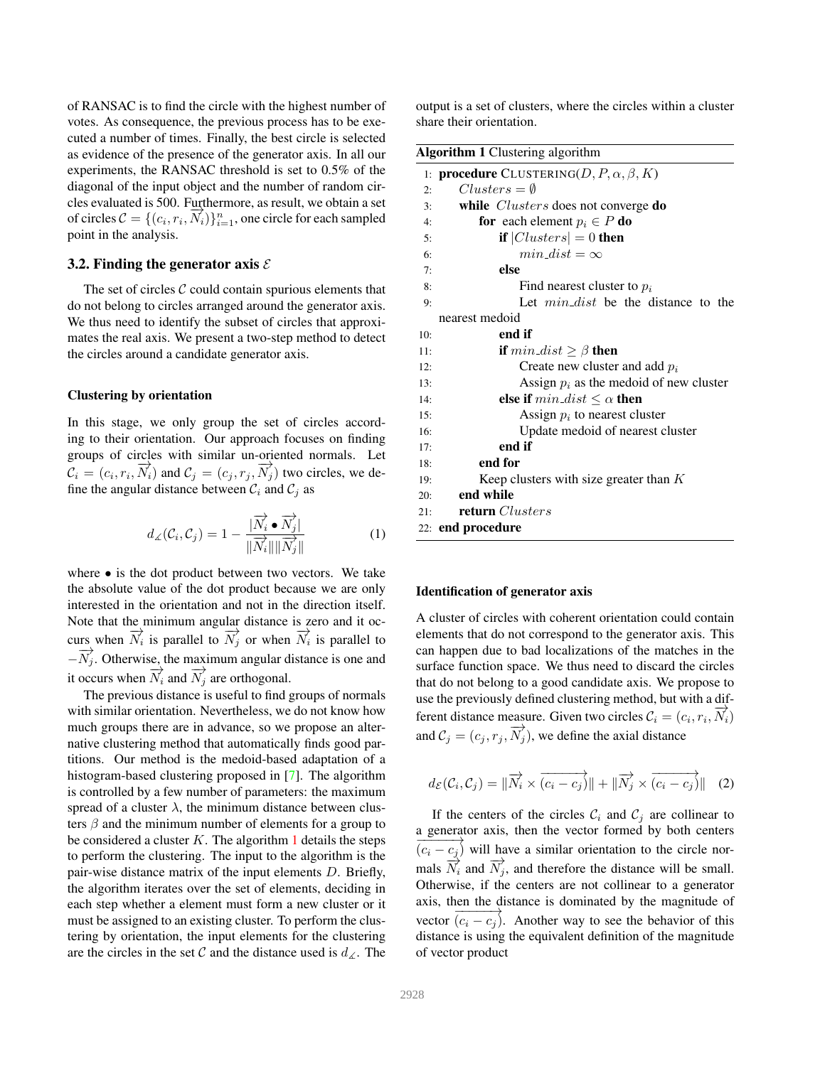<span id="page-3-1"></span>of RANSAC is to find the circle with the highest number of votes. As consequence, the previous process has to be executed a number of times. Finally, the best circle is selected as evidence of the presence of the generator axis. In all our experiments, the RANSAC threshold is set to 0.5% of the diagonal of the input object and the number of random circles evaluated is 500. Furthermore, as result, we obtain a set of circles  $C = \{(c_i, r_i, \overrightarrow{N_i})\}_{i=1}^n$ , one circle for each sampled point in the analysis.

#### 3.2. Finding the generator axis  $\mathcal E$

The set of circles  $C$  could contain spurious elements that do not belong to circles arranged around the generator axis. We thus need to identify the subset of circles that approximates the real axis. We present a two-step method to detect the circles around a candidate generator axis.

#### Clustering by orientation

In this stage, we only group the set of circles according to their orientation. Our approach focuses on finding groups of circles with similar un-oriented normals. Let  $C_i = (c_i, r_i, \overrightarrow{N_i})$  and  $C_j = (c_j, r_j, \overrightarrow{N_j})$  two circles, we define the angular distance between  $C_i$  and  $C_j$  as

$$
d_{\angle}(\mathcal{C}_{i}, \mathcal{C}_{j}) = 1 - \frac{|\overrightarrow{N}_{i} \bullet \overrightarrow{N}_{j}|}{\|\overrightarrow{N}_{i}\| \|\overrightarrow{N}_{j}\|}
$$
(1)

where • is the dot product between two vectors. We take the absolute value of the dot product because we are only interested in the orientation and not in the direction itself. Note that the minimum angular distance is zero and it occurs when  $\overrightarrow{N_i}$  is parallel to  $\overrightarrow{N_j}$  or when  $\overrightarrow{N_i}$  is parallel to  $-\overrightarrow{N_j}$ . Otherwise, the maximum angular distance is one and it occurs when  $\overrightarrow{N_i}$  and  $\overrightarrow{N_j}$  are orthogonal.

The previous distance is useful to find groups of normals with similar orientation. Nevertheless, we do not know how much groups there are in advance, so we propose an alternative clustering method that automatically finds good partitions. Our method is the medoid-based adaptation of a histogram-based clustering proposed in [\[7\]](#page-8-17). The algorithm is controlled by a few number of parameters: the maximum spread of a cluster  $\lambda$ , the minimum distance between clusters  $\beta$  and the minimum number of elements for a group to be considered a cluster  $K$ . The algorithm [1](#page-3-0) details the steps to perform the clustering. The input to the algorithm is the pair-wise distance matrix of the input elements D. Briefly, the algorithm iterates over the set of elements, deciding in each step whether a element must form a new cluster or it must be assigned to an existing cluster. To perform the clustering by orientation, the input elements for the clustering are the circles in the set C and the distance used is  $d_{\angle}$ . The

output is a set of clusters, where the circles within a cluster share their orientation.

<span id="page-3-0"></span>

| <b>Algorithm 1 Clustering algorithm</b> |                                                            |
|-----------------------------------------|------------------------------------------------------------|
|                                         | 1: <b>procedure</b> CLUSTERING( $D, P, \alpha, \beta, K$ ) |
| 2:                                      | $Clusters = \emptyset$                                     |
| 3:                                      | while <i>Clusters</i> does not converge do                 |
| 4:                                      | <b>for</b> each element $p_i \in P$ <b>do</b>              |
| 5:                                      | if $ Clusters  = 0$ then                                   |
| 6:                                      | $min\_dist = \infty$                                       |
| 7:                                      | else                                                       |
| 8:                                      | Find nearest cluster to $p_i$                              |
| 9:                                      | Let <i>min_dist</i> be the distance to the                 |
|                                         | nearest medoid                                             |
| 10:                                     | end if                                                     |
| 11:                                     | <b>if</b> $min\_dist \geq \beta$ <b>then</b>               |
| 12:                                     | Create new cluster and add $p_i$                           |
| 13:                                     | Assign $p_i$ as the medoid of new cluster                  |
| 14:                                     | else if $min\_dist \leq \alpha$ then                       |
| 15:                                     | Assign $p_i$ to nearest cluster                            |
| 16:                                     | Update medoid of nearest cluster                           |
| 17:                                     | end if                                                     |
| 18:                                     | end for                                                    |
| 19:                                     | Keep clusters with size greater than $K$                   |
| 20:                                     | end while                                                  |
| 21:                                     | return Clusters                                            |
|                                         | 22: end procedure                                          |

#### Identification of generator axis

A cluster of circles with coherent orientation could contain elements that do not correspond to the generator axis. This can happen due to bad localizations of the matches in the surface function space. We thus need to discard the circles that do not belong to a good candidate axis. We propose to use the previously defined clustering method, but with a different distance measure. Given two circles  $C_i = (c_i, r_i, \overrightarrow{N_i})$ and  $C_j = (c_j, r_j, \overrightarrow{N_j})$ , we define the axial distance

$$
d_{\mathcal{E}}(\mathcal{C}_i, \mathcal{C}_j) = \|\overrightarrow{N_i} \times \overrightarrow{(c_i - c_j)}\| + \|\overrightarrow{N_j} \times \overrightarrow{(c_i - c_j)}\| \quad (2)
$$

If the centers of the circles  $C_i$  and  $C_j$  are collinear to a generator axis, then the vector formed by both centers  $(c_i - c_j)$  will have a similar orientation to the circle normals  $\overrightarrow{N_i}$  and  $\overrightarrow{N_j}$ , and therefore the distance will be small. Otherwise, if the centers are not collinear to a generator axis, then the distance is dominated by the magnitude of vector  $\overline{(c_i - c_j)}$ . Another way to see the behavior of this distance is using the equivalent definition of the magnitude of vector product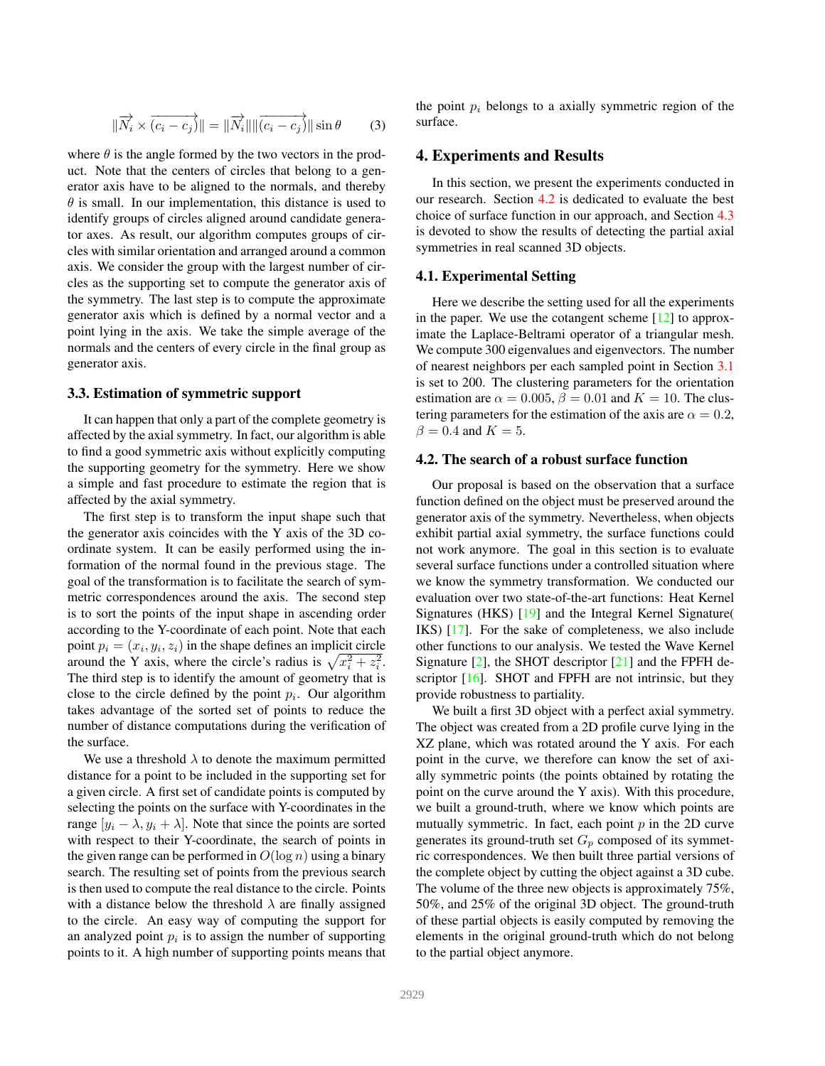<span id="page-4-3"></span>
$$
\|\overrightarrow{N_i} \times \overrightarrow{(c_i - c_j)}\| = \|\overrightarrow{N_i}\| \|\overrightarrow{(c_i - c_j)}\| \sin \theta \qquad (3)
$$

where  $\theta$  is the angle formed by the two vectors in the product. Note that the centers of circles that belong to a generator axis have to be aligned to the normals, and thereby  $\theta$  is small. In our implementation, this distance is used to identify groups of circles aligned around candidate generator axes. As result, our algorithm computes groups of circles with similar orientation and arranged around a common axis. We consider the group with the largest number of circles as the supporting set to compute the generator axis of the symmetry. The last step is to compute the approximate generator axis which is defined by a normal vector and a point lying in the axis. We take the simple average of the normals and the centers of every circle in the final group as generator axis.

#### <span id="page-4-2"></span>3.3. Estimation of symmetric support

It can happen that only a part of the complete geometry is affected by the axial symmetry. In fact, our algorithm is able to find a good symmetric axis without explicitly computing the supporting geometry for the symmetry. Here we show a simple and fast procedure to estimate the region that is affected by the axial symmetry.

The first step is to transform the input shape such that the generator axis coincides with the Y axis of the 3D coordinate system. It can be easily performed using the information of the normal found in the previous stage. The goal of the transformation is to facilitate the search of symmetric correspondences around the axis. The second step is to sort the points of the input shape in ascending order according to the Y-coordinate of each point. Note that each point  $p_i = (x_i, y_i, z_i)$  in the shape defines an implicit circle around the Y axis, where the circle's radius is  $\sqrt{x_i^2 + z_i^2}$ . The third step is to identify the amount of geometry that is close to the circle defined by the point  $p_i$ . Our algorithm takes advantage of the sorted set of points to reduce the number of distance computations during the verification of the surface.

We use a threshold  $\lambda$  to denote the maximum permitted distance for a point to be included in the supporting set for a given circle. A first set of candidate points is computed by selecting the points on the surface with Y-coordinates in the range  $[y_i - \lambda, y_i + \lambda]$ . Note that since the points are sorted with respect to their Y-coordinate, the search of points in the given range can be performed in  $O(\log n)$  using a binary search. The resulting set of points from the previous search is then used to compute the real distance to the circle. Points with a distance below the threshold  $\lambda$  are finally assigned to the circle. An easy way of computing the support for an analyzed point  $p_i$  is to assign the number of supporting points to it. A high number of supporting points means that

the point  $p_i$  belongs to a axially symmetric region of the surface.

### <span id="page-4-0"></span>4. Experiments and Results

In this section, we present the experiments conducted in our research. Section [4.2](#page-4-1) is dedicated to evaluate the best choice of surface function in our approach, and Section [4.3](#page-5-0) is devoted to show the results of detecting the partial axial symmetries in real scanned 3D objects.

#### 4.1. Experimental Setting

Here we describe the setting used for all the experiments in the paper. We use the cotangent scheme  $[12]$  to approximate the Laplace-Beltrami operator of a triangular mesh. We compute 300 eigenvalues and eigenvectors. The number of nearest neighbors per each sampled point in Section [3.1](#page-2-2) is set to 200. The clustering parameters for the orientation estimation are  $\alpha = 0.005$ ,  $\beta = 0.01$  and  $K = 10$ . The clustering parameters for the estimation of the axis are  $\alpha = 0.2$ ,  $\beta = 0.4$  and  $K = 5$ .

### <span id="page-4-1"></span>4.2. The search of a robust surface function

Our proposal is based on the observation that a surface function defined on the object must be preserved around the generator axis of the symmetry. Nevertheless, when objects exhibit partial axial symmetry, the surface functions could not work anymore. The goal in this section is to evaluate several surface functions under a controlled situation where we know the symmetry transformation. We conducted our evaluation over two state-of-the-art functions: Heat Kernel Signatures (HKS) [\[19\]](#page-8-14) and the Integral Kernel Signature( IKS) [\[17\]](#page-8-13). For the sake of completeness, we also include other functions to our analysis. We tested the Wave Kernel Signature [\[2\]](#page-8-19), the SHOT descriptor [\[21\]](#page-8-20) and the FPFH de-scriptor [\[16\]](#page-8-21). SHOT and FPFH are not intrinsic, but they provide robustness to partiality.

We built a first 3D object with a perfect axial symmetry. The object was created from a 2D profile curve lying in the XZ plane, which was rotated around the Y axis. For each point in the curve, we therefore can know the set of axially symmetric points (the points obtained by rotating the point on the curve around the Y axis). With this procedure, we built a ground-truth, where we know which points are mutually symmetric. In fact, each point  $p$  in the 2D curve generates its ground-truth set  $G_p$  composed of its symmetric correspondences. We then built three partial versions of the complete object by cutting the object against a 3D cube. The volume of the three new objects is approximately 75%, 50%, and 25% of the original 3D object. The ground-truth of these partial objects is easily computed by removing the elements in the original ground-truth which do not belong to the partial object anymore.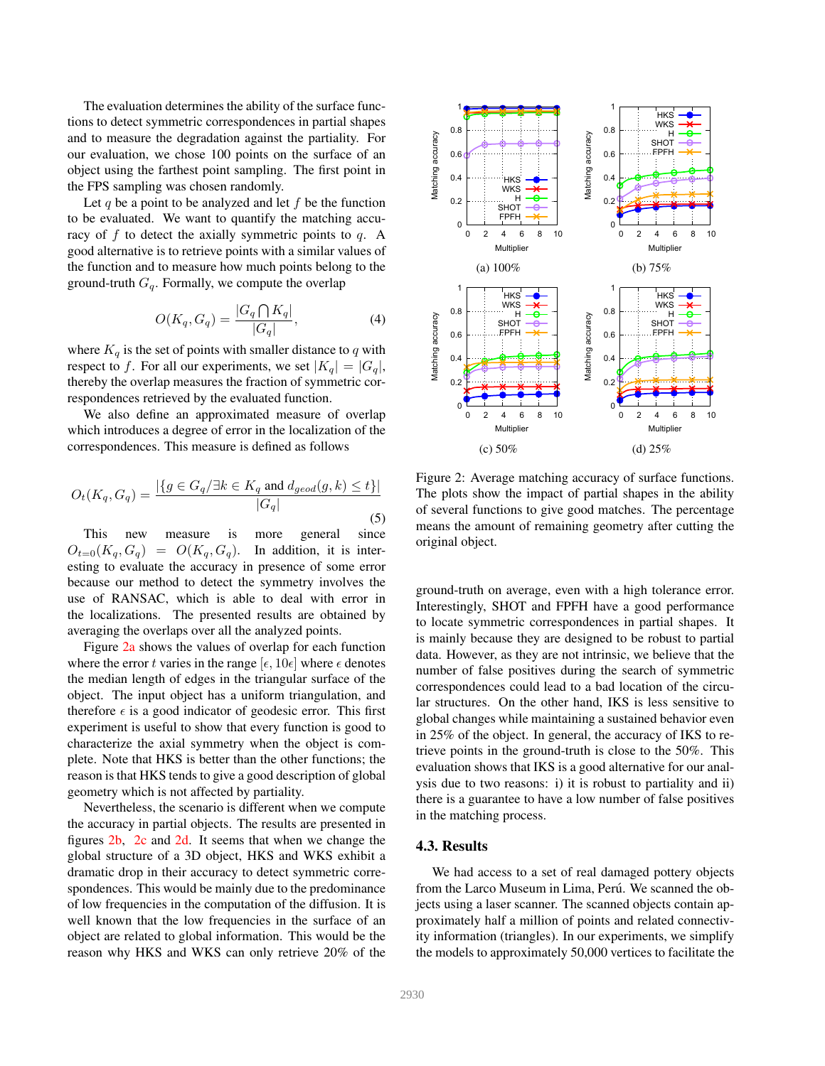The evaluation determines the ability of the surface functions to detect symmetric correspondences in partial shapes and to measure the degradation against the partiality. For our evaluation, we chose 100 points on the surface of an object using the farthest point sampling. The first point in the FPS sampling was chosen randomly.

Let q be a point to be analyzed and let  $f$  be the function to be evaluated. We want to quantify the matching accuracy of  $f$  to detect the axially symmetric points to  $q$ . A good alternative is to retrieve points with a similar values of the function and to measure how much points belong to the ground-truth  $G_q$ . Formally, we compute the overlap

$$
O(K_q, G_q) = \frac{|G_q \bigcap K_q|}{|G_q|},\tag{4}
$$

where  $K_q$  is the set of points with smaller distance to q with respect to f. For all our experiments, we set  $|K_q| = |G_q|$ , thereby the overlap measures the fraction of symmetric correspondences retrieved by the evaluated function.

We also define an approximated measure of overlap which introduces a degree of error in the localization of the correspondences. This measure is defined as follows

$$
O_t(K_q, G_q) = \frac{|\{g \in G_q/\exists k \in K_q \text{ and } d_{geod}(g, k) \le t\}|}{|G_q|}
$$
(5)

This new measure is more general since  $O_{t=0}(K_q, G_q) = O(K_q, G_q)$ . In addition, it is interesting to evaluate the accuracy in presence of some error because our method to detect the symmetry involves the use of RANSAC, which is able to deal with error in the localizations. The presented results are obtained by averaging the overlaps over all the analyzed points.

Figure [2a](#page-5-1) shows the values of overlap for each function where the error t varies in the range  $[\epsilon, 10\epsilon]$  where  $\epsilon$  denotes the median length of edges in the triangular surface of the object. The input object has a uniform triangulation, and therefore  $\epsilon$  is a good indicator of geodesic error. This first experiment is useful to show that every function is good to characterize the axial symmetry when the object is complete. Note that HKS is better than the other functions; the reason is that HKS tends to give a good description of global geometry which is not affected by partiality.

Nevertheless, the scenario is different when we compute the accuracy in partial objects. The results are presented in figures [2b,](#page-5-1) [2c](#page-5-1) and [2d.](#page-5-1) It seems that when we change the global structure of a 3D object, HKS and WKS exhibit a dramatic drop in their accuracy to detect symmetric correspondences. This would be mainly due to the predominance of low frequencies in the computation of the diffusion. It is well known that the low frequencies in the surface of an object are related to global information. This would be the reason why HKS and WKS can only retrieve 20% of the

<span id="page-5-1"></span>

Figure 2: Average matching accuracy of surface functions. The plots show the impact of partial shapes in the ability of several functions to give good matches. The percentage means the amount of remaining geometry after cutting the original object.

ground-truth on average, even with a high tolerance error. Interestingly, SHOT and FPFH have a good performance to locate symmetric correspondences in partial shapes. It is mainly because they are designed to be robust to partial data. However, as they are not intrinsic, we believe that the number of false positives during the search of symmetric correspondences could lead to a bad location of the circular structures. On the other hand, IKS is less sensitive to global changes while maintaining a sustained behavior even in 25% of the object. In general, the accuracy of IKS to retrieve points in the ground-truth is close to the 50%. This evaluation shows that IKS is a good alternative for our analysis due to two reasons: i) it is robust to partiality and ii) there is a guarantee to have a low number of false positives in the matching process.

### <span id="page-5-0"></span>4.3. Results

We had access to a set of real damaged pottery objects from the Larco Museum in Lima, Perú. We scanned the objects using a laser scanner. The scanned objects contain approximately half a million of points and related connectivity information (triangles). In our experiments, we simplify the models to approximately 50,000 vertices to facilitate the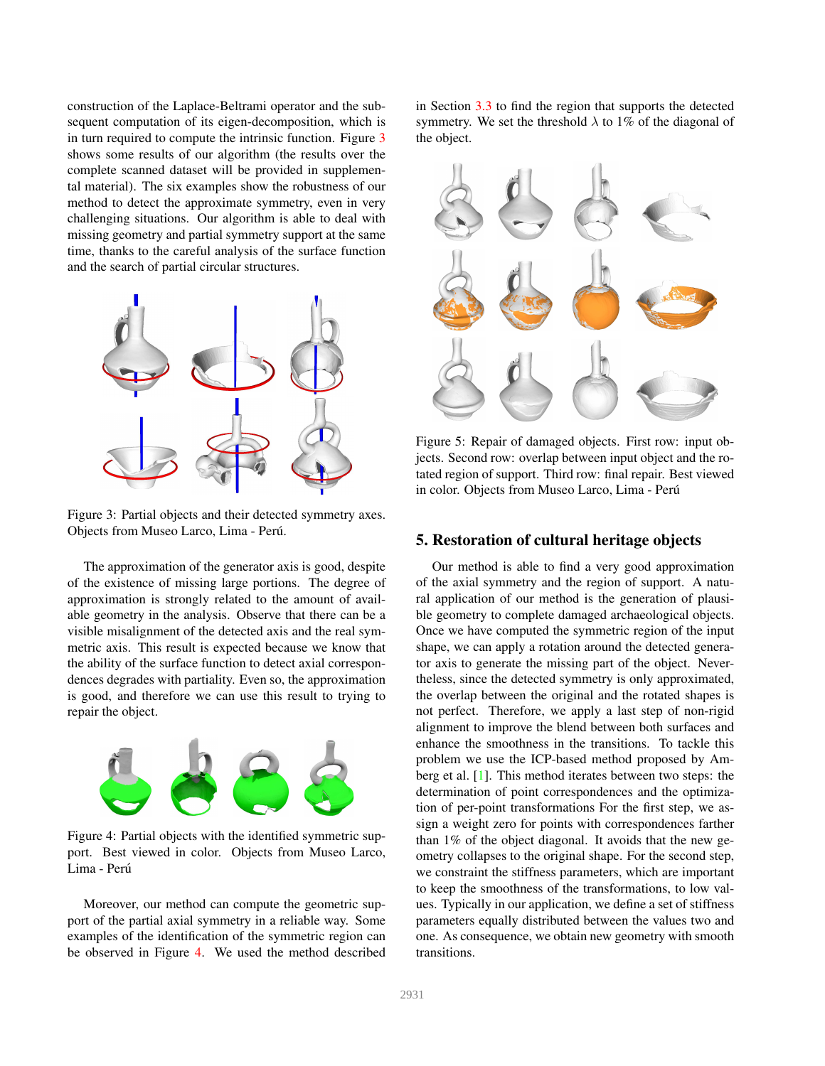<span id="page-6-4"></span>construction of the Laplace-Beltrami operator and the subsequent computation of its eigen-decomposition, which is in turn required to compute the intrinsic function. Figure [3](#page-6-1) shows some results of our algorithm (the results over the complete scanned dataset will be provided in supplemental material). The six examples show the robustness of our method to detect the approximate symmetry, even in very challenging situations. Our algorithm is able to deal with missing geometry and partial symmetry support at the same time, thanks to the careful analysis of the surface function and the search of partial circular structures.

<span id="page-6-1"></span>

Figure 3: Partial objects and their detected symmetry axes. Objects from Museo Larco, Lima - Peru.´

The approximation of the generator axis is good, despite of the existence of missing large portions. The degree of approximation is strongly related to the amount of available geometry in the analysis. Observe that there can be a visible misalignment of the detected axis and the real symmetric axis. This result is expected because we know that the ability of the surface function to detect axial correspondences degrades with partiality. Even so, the approximation is good, and therefore we can use this result to trying to repair the object.

<span id="page-6-2"></span>

Figure 4: Partial objects with the identified symmetric support. Best viewed in color. Objects from Museo Larco, Lima - Perú

Moreover, our method can compute the geometric support of the partial axial symmetry in a reliable way. Some examples of the identification of the symmetric region can be observed in Figure [4.](#page-6-2) We used the method described in Section [3.3](#page-4-2) to find the region that supports the detected symmetry. We set the threshold  $\lambda$  to 1% of the diagonal of the object.

<span id="page-6-3"></span>

Figure 5: Repair of damaged objects. First row: input objects. Second row: overlap between input object and the rotated region of support. Third row: final repair. Best viewed in color. Objects from Museo Larco, Lima - Perú

## <span id="page-6-0"></span>5. Restoration of cultural heritage objects

Our method is able to find a very good approximation of the axial symmetry and the region of support. A natural application of our method is the generation of plausible geometry to complete damaged archaeological objects. Once we have computed the symmetric region of the input shape, we can apply a rotation around the detected generator axis to generate the missing part of the object. Nevertheless, since the detected symmetry is only approximated, the overlap between the original and the rotated shapes is not perfect. Therefore, we apply a last step of non-rigid alignment to improve the blend between both surfaces and enhance the smoothness in the transitions. To tackle this problem we use the ICP-based method proposed by Amberg et al. [\[1\]](#page-8-22). This method iterates between two steps: the determination of point correspondences and the optimization of per-point transformations For the first step, we assign a weight zero for points with correspondences farther than 1% of the object diagonal. It avoids that the new geometry collapses to the original shape. For the second step, we constraint the stiffness parameters, which are important to keep the smoothness of the transformations, to low values. Typically in our application, we define a set of stiffness parameters equally distributed between the values two and one. As consequence, we obtain new geometry with smooth transitions.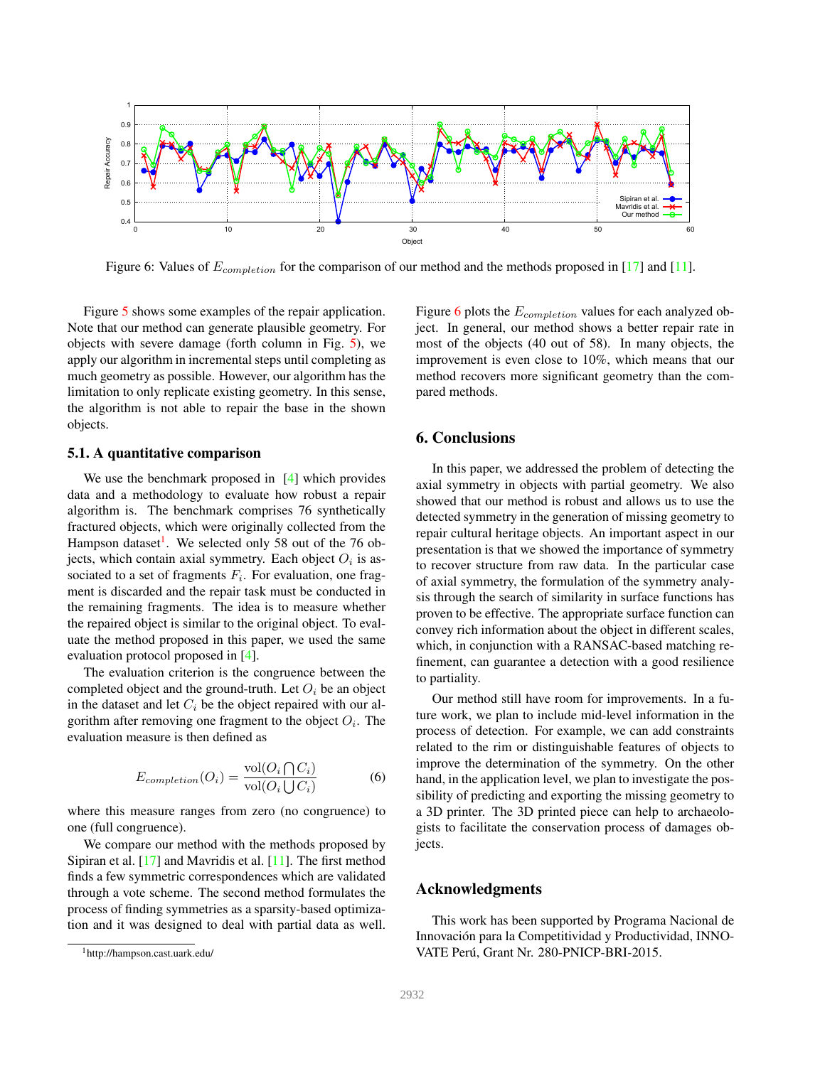<span id="page-7-3"></span><span id="page-7-2"></span>

Figure 6: Values of  $E_{completion}$  for the comparison of our method and the methods proposed in [\[17\]](#page-8-13) and [\[11\]](#page-8-15).

Figure [5](#page-6-3) shows some examples of the repair application. Note that our method can generate plausible geometry. For objects with severe damage (forth column in Fig. [5\)](#page-6-3), we apply our algorithm in incremental steps until completing as much geometry as possible. However, our algorithm has the limitation to only replicate existing geometry. In this sense, the algorithm is not able to repair the base in the shown objects.

#### 5.1. A quantitative comparison

We use the benchmark proposed in  $[4]$  which provides data and a methodology to evaluate how robust a repair algorithm is. The benchmark comprises 76 synthetically fractured objects, which were originally collected from the Hampson dataset<sup>[1](#page-7-1)</sup>. We selected only 58 out of the 76 objects, which contain axial symmetry. Each object  $O_i$  is associated to a set of fragments  $F_i$ . For evaluation, one fragment is discarded and the repair task must be conducted in the remaining fragments. The idea is to measure whether the repaired object is similar to the original object. To evaluate the method proposed in this paper, we used the same evaluation protocol proposed in [\[4\]](#page-8-23).

The evaluation criterion is the congruence between the completed object and the ground-truth. Let  $O_i$  be an object in the dataset and let  $C_i$  be the object repaired with our algorithm after removing one fragment to the object  $O_i$ . The evaluation measure is then defined as

$$
E_{completion}(O_i) = \frac{\text{vol}(O_i \cap C_i)}{\text{vol}(O_i \cup C_i)}\tag{6}
$$

where this measure ranges from zero (no congruence) to one (full congruence).

We compare our method with the methods proposed by Sipiran et al. [\[17\]](#page-8-13) and Mavridis et al. [\[11\]](#page-8-15). The first method finds a few symmetric correspondences which are validated through a vote scheme. The second method formulates the process of finding symmetries as a sparsity-based optimization and it was designed to deal with partial data as well. Figure [6](#page-7-2) plots the  $E_{completion}$  values for each analyzed object. In general, our method shows a better repair rate in most of the objects (40 out of 58). In many objects, the improvement is even close to 10%, which means that our method recovers more significant geometry than the compared methods.

# <span id="page-7-0"></span>6. Conclusions

In this paper, we addressed the problem of detecting the axial symmetry in objects with partial geometry. We also showed that our method is robust and allows us to use the detected symmetry in the generation of missing geometry to repair cultural heritage objects. An important aspect in our presentation is that we showed the importance of symmetry to recover structure from raw data. In the particular case of axial symmetry, the formulation of the symmetry analysis through the search of similarity in surface functions has proven to be effective. The appropriate surface function can convey rich information about the object in different scales, which, in conjunction with a RANSAC-based matching refinement, can guarantee a detection with a good resilience to partiality.

Our method still have room for improvements. In a future work, we plan to include mid-level information in the process of detection. For example, we can add constraints related to the rim or distinguishable features of objects to improve the determination of the symmetry. On the other hand, in the application level, we plan to investigate the possibility of predicting and exporting the missing geometry to a 3D printer. The 3D printed piece can help to archaeologists to facilitate the conservation process of damages objects.

### Acknowledgments

This work has been supported by Programa Nacional de Innovación para la Competitividad y Productividad, INNO-VATE Perú, Grant Nr. 280-PNICP-BRI-2015.

<span id="page-7-1"></span><sup>1</sup>http://hampson.cast.uark.edu/